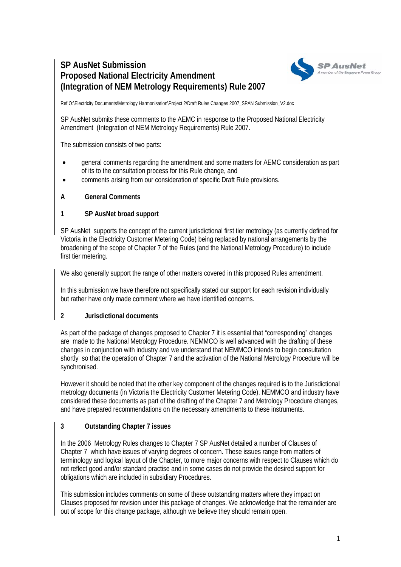# **SP AusNet Submission Proposed National Electricity Amendment (Integration of NEM Metrology Requirements) Rule 2007**



Ref O:\Electricity Documents\Metrology Harmonisation\Project 2\Draft Rules Changes 2007\_SPAN Submission\_V2.doc

SP AusNet submits these comments to the AEMC in response to the Proposed National Electricity Amendment (Integration of NEM Metrology Requirements) Rule 2007.

The submission consists of two parts:

- general comments regarding the amendment and some matters for AEMC consideration as part of its to the consultation process for this Rule change, and
- comments arising from our consideration of specific Draft Rule provisions.

## **A General Comments**

## **1 SP AusNet broad support**

SP AusNet supports the concept of the current jurisdictional first tier metrology (as currently defined for Victoria in the Electricity Customer Metering Code) being replaced by national arrangements by the broadening of the scope of Chapter 7 of the Rules (and the National Metrology Procedure) to include first tier metering.

We also generally support the range of other matters covered in this proposed Rules amendment.

In this submission we have therefore not specifically stated our support for each revision individually but rather have only made comment where we have identified concerns.

#### **2 Jurisdictional documents**

As part of the package of changes proposed to Chapter 7 it is essential that "corresponding" changes are made to the National Metrology Procedure. NEMMCO is well advanced with the drafting of these changes in conjunction with industry and we understand that NEMMCO intends to begin consultation shortly so that the operation of Chapter 7 and the activation of the National Metrology Procedure will be synchronised.

However it should be noted that the other key component of the changes required is to the Jurisdictional metrology documents (in Victoria the Electricity Customer Metering Code). NEMMCO and industry have considered these documents as part of the drafting of the Chapter 7 and Metrology Procedure changes, and have prepared recommendations on the necessary amendments to these instruments.

#### **3 Outstanding Chapter 7 issues**

In the 2006 Metrology Rules changes to Chapter 7 SP AusNet detailed a number of Clauses of Chapter 7 which have issues of varying degrees of concern. These issues range from matters of terminology and logical layout of the Chapter, to more major concerns with respect to Clauses which do not reflect good and/or standard practise and in some cases do not provide the desired support for obligations which are included in subsidiary Procedures.

This submission includes comments on some of these outstanding matters where they impact on Clauses proposed for revision under this package of changes. We acknowledge that the remainder are out of scope for this change package, although we believe they should remain open.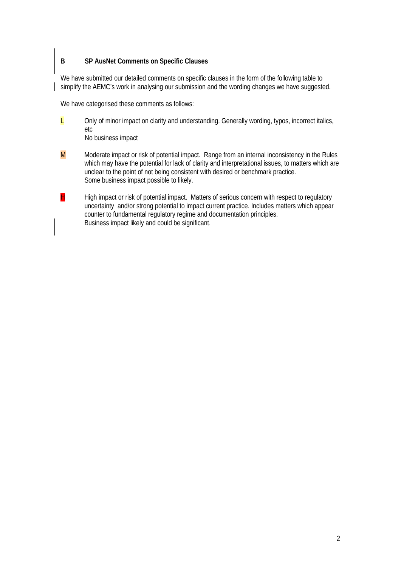# **B SP AusNet Comments on Specific Clauses**

We have submitted our detailed comments on specific clauses in the form of the following table to simplify the AEMC's work in analysing our submission and the wording changes we have suggested.

We have categorised these comments as follows:

- $L$  Only of minor impact on clarity and understanding. Generally wording, typos, incorrect italics, etc No business impact
- $M$  Moderate impact or risk of potential impact. Range from an internal inconsistency in the Rules which may have the potential for lack of clarity and interpretational issues, to matters which are unclear to the point of not being consistent with desired or benchmark practice. Some business impact possible to likely.
- $H$  High impact or risk of potential impact. Matters of serious concern with respect to regulatory uncertainty and/or strong potential to impact current practice. Includes matters which appear counter to fundamental regulatory regime and documentation principles. Business impact likely and could be significant.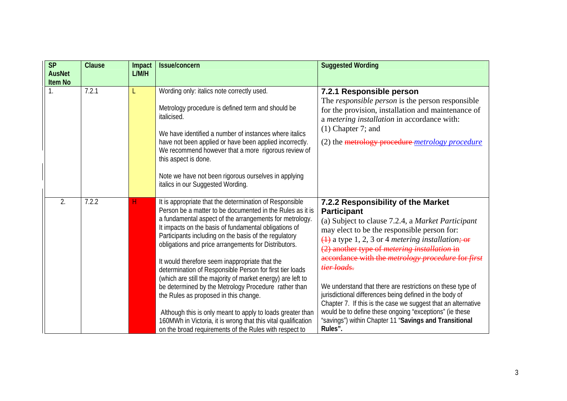| $\overline{\mathsf{SP}}$<br><b>AusNet</b><br><b>Item No</b> | <b>Clause</b>      | Impact<br>L/M/H | Issue/concern                                                                                                                                                                                                                                                                                                                                                                                                                                                                                                                                                                                                                                                                                                                                                                                                                    | <b>Suggested Wording</b>                                                                                                                                                                                                                                                                                                                                                                                                                                                                                                                                                                                                                                                                    |
|-------------------------------------------------------------|--------------------|-----------------|----------------------------------------------------------------------------------------------------------------------------------------------------------------------------------------------------------------------------------------------------------------------------------------------------------------------------------------------------------------------------------------------------------------------------------------------------------------------------------------------------------------------------------------------------------------------------------------------------------------------------------------------------------------------------------------------------------------------------------------------------------------------------------------------------------------------------------|---------------------------------------------------------------------------------------------------------------------------------------------------------------------------------------------------------------------------------------------------------------------------------------------------------------------------------------------------------------------------------------------------------------------------------------------------------------------------------------------------------------------------------------------------------------------------------------------------------------------------------------------------------------------------------------------|
|                                                             | 7.2.1              |                 | Wording only: italics note correctly used.<br>Metrology procedure is defined term and should be<br>italicised.<br>We have identified a number of instances where italics<br>have not been applied or have been applied incorrectly.<br>We recommend however that a more rigorous review of<br>this aspect is done.<br>Note we have not been rigorous ourselves in applying<br>italics in our Suggested Wording.                                                                                                                                                                                                                                                                                                                                                                                                                  | 7.2.1 Responsible person<br>The <i>responsible person</i> is the person responsible<br>for the provision, installation and maintenance of<br>a metering installation in accordance with:<br>$(1)$ Chapter 7; and<br>(2) the metrology procedure metrology procedure                                                                                                                                                                                                                                                                                                                                                                                                                         |
| 2.                                                          | $\overline{7.2.2}$ | н               | It is appropriate that the determination of Responsible<br>Person be a matter to be documented in the Rules as it is<br>a fundamental aspect of the arrangements for metrology.<br>It impacts on the basis of fundamental obligations of<br>Participants including on the basis of the regulatory<br>obligations and price arrangements for Distributors.<br>It would therefore seem inappropriate that the<br>determination of Responsible Person for first tier loads<br>(which are still the majority of market energy) are left to<br>be determined by the Metrology Procedure rather than<br>the Rules as proposed in this change.<br>Although this is only meant to apply to loads greater than<br>160MWh in Victoria, it is wrong that this vital qualification<br>on the broad requirements of the Rules with respect to | 7.2.2 Responsibility of the Market<br><b>Participant</b><br>(a) Subject to clause 7.2.4, a Market Participant<br>may elect to be the responsible person for:<br>$\overline{(1)}$ a type 1, 2, 3 or 4 <i>metering installation</i> ; or<br>(2) another type of <i>metering installation</i> in<br>accordance with the metrology procedure for first<br>tier loads.<br>We understand that there are restrictions on these type of<br>jurisdictional differences being defined in the body of<br>Chapter 7. If this is the case we suggest that an alternative<br>would be to define these ongoing "exceptions" (ie these<br>"savings") within Chapter 11 "Savings and Transitional<br>Rules". |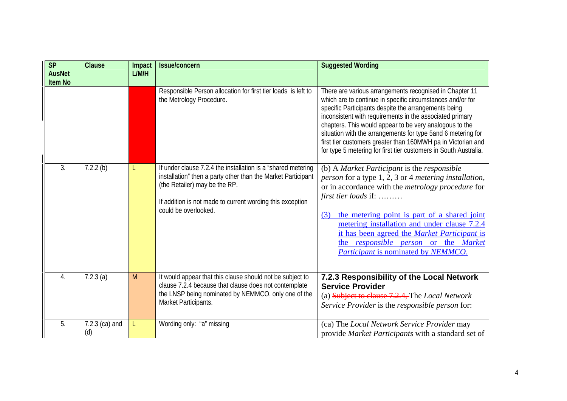| <b>SP</b><br><b>AusNet</b><br><b>Item No</b> | <b>Clause</b>           | Impact<br>L/M/H | Issue/concern                                                                                                                                                                                                                                       | <b>Suggested Wording</b>                                                                                                                                                                                                                                                                                                                                                                                                                                                                                 |
|----------------------------------------------|-------------------------|-----------------|-----------------------------------------------------------------------------------------------------------------------------------------------------------------------------------------------------------------------------------------------------|----------------------------------------------------------------------------------------------------------------------------------------------------------------------------------------------------------------------------------------------------------------------------------------------------------------------------------------------------------------------------------------------------------------------------------------------------------------------------------------------------------|
|                                              |                         |                 | Responsible Person allocation for first tier loads is left to<br>the Metrology Procedure.                                                                                                                                                           | There are various arrangements recognised in Chapter 11<br>which are to continue in specific circumstances and/or for<br>specific Participants despite the arrangements being<br>inconsistent with requirements in the associated primary<br>chapters. This would appear to be very analogous to the<br>situation with the arrangements for type 5and 6 metering for<br>first tier customers greater than 160MWH pa in Victorian and<br>for type 5 metering for first tier customers in South Australia. |
| 3.                                           | $7.2.2$ (b)             | L               | If under clause 7.2.4 the installation is a "shared metering"<br>installation" then a party other than the Market Participant<br>(the Retailer) may be the RP.<br>If addition is not made to current wording this exception<br>could be overlooked. | (b) A Market Participant is the responsible<br>person for a type 1, 2, 3 or 4 metering installation,<br>or in accordance with the <i>metrology procedure</i> for<br>first tier loads if:<br>the metering point is part of a shared joint<br>(3)<br>metering installation and under clause 7.2.4<br>it has been agreed the Market Participant is<br>the responsible person or the Market<br>Participant is nominated by NEMMCO.                                                                           |
| 4.                                           | $7.2.3$ (a)             | M               | It would appear that this clause should not be subject to<br>clause 7.2.4 because that clause does not contemplate<br>the LNSP being nominated by NEMMCO, only one of the<br>Market Participants.                                                   | 7.2.3 Responsibility of the Local Network<br><b>Service Provider</b><br>(a) Subject to clause 7.2.4, The Local Network<br>Service Provider is the responsible person for:                                                                                                                                                                                                                                                                                                                                |
| 5.                                           | $7.2.3$ (ca) and<br>(d) | L               | Wording only: "a" missing                                                                                                                                                                                                                           | (ca) The Local Network Service Provider may<br>provide Market Participants with a standard set of                                                                                                                                                                                                                                                                                                                                                                                                        |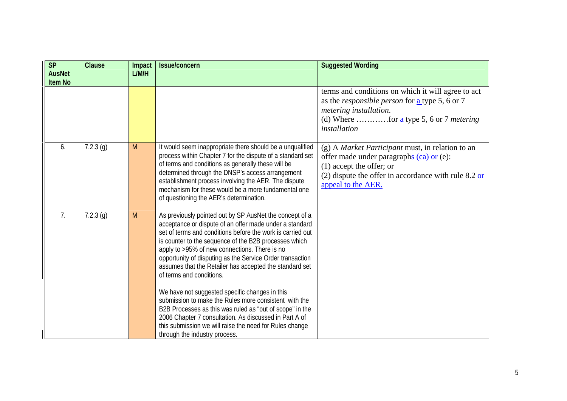| <b>SP</b>                       | Clause      | Impact | <b>Issue/concern</b>                                                                                                                                                                                                                                                                                                                                                                                                                                                                                                                                                                                                                                                                                                                                                        | <b>Suggested Wording</b>                                                                                                                                                                                                              |
|---------------------------------|-------------|--------|-----------------------------------------------------------------------------------------------------------------------------------------------------------------------------------------------------------------------------------------------------------------------------------------------------------------------------------------------------------------------------------------------------------------------------------------------------------------------------------------------------------------------------------------------------------------------------------------------------------------------------------------------------------------------------------------------------------------------------------------------------------------------------|---------------------------------------------------------------------------------------------------------------------------------------------------------------------------------------------------------------------------------------|
| <b>AusNet</b><br><b>Item No</b> |             | L/M/H  |                                                                                                                                                                                                                                                                                                                                                                                                                                                                                                                                                                                                                                                                                                                                                                             |                                                                                                                                                                                                                                       |
|                                 |             |        |                                                                                                                                                                                                                                                                                                                                                                                                                                                                                                                                                                                                                                                                                                                                                                             | terms and conditions on which it will agree to act<br>as the <i>responsible person</i> for $\underline{\mathbf{a}}$ type 5, 6 or 7<br>metering installation.<br>(d) Where for <u>a</u> type 5, 6 or 7 <i>metering</i><br>installation |
| 6.                              | $7.2.3$ (g) | M      | It would seem inappropriate there should be a unqualified<br>process within Chapter 7 for the dispute of a standard set<br>of terms and conditions as generally these will be<br>determined through the DNSP's access arrangement<br>establishment process involving the AER. The dispute<br>mechanism for these would be a more fundamental one<br>of questioning the AER's determination.                                                                                                                                                                                                                                                                                                                                                                                 | (g) A Market Participant must, in relation to an<br>offer made under paragraphs (ca) or (e):<br>$(1)$ accept the offer; or<br>(2) dispute the offer in accordance with rule $8.2 \text{ or }$<br>appeal to the AER.                   |
| 7 <sub>1</sub>                  | $7.2.3$ (g) | M      | As previously pointed out by SP AusNet the concept of a<br>acceptance or dispute of an offer made under a standard<br>set of terms and conditions before the work is carried out<br>is counter to the sequence of the B2B processes which<br>apply to >95% of new connections. There is no<br>opportunity of disputing as the Service Order transaction<br>assumes that the Retailer has accepted the standard set<br>of terms and conditions.<br>We have not suggested specific changes in this<br>submission to make the Rules more consistent with the<br>B2B Processes as this was ruled as "out of scope" in the<br>2006 Chapter 7 consultation. As discussed in Part A of<br>this submission we will raise the need for Rules change<br>through the industry process. |                                                                                                                                                                                                                                       |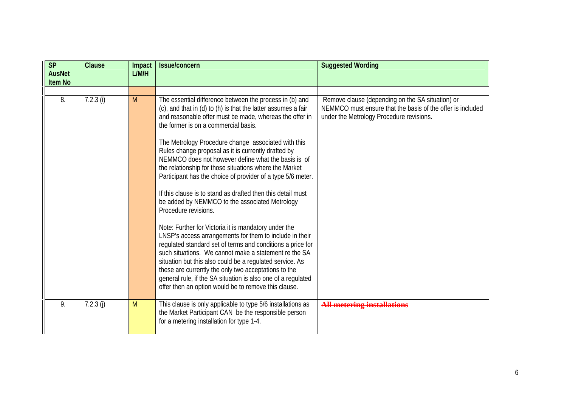| <b>SP</b><br><b>AusNet</b><br><b>Item No</b> | Clause      | Impact<br>L/M/H | Issue/concern                                                                                                                                                                                                                                                                                                                                                                                                                                                                                                                                                                                                                                                                                                                                                                                                                                                                                                                                                                                                                                                                                    | <b>Suggested Wording</b>                                                                                                                                   |
|----------------------------------------------|-------------|-----------------|--------------------------------------------------------------------------------------------------------------------------------------------------------------------------------------------------------------------------------------------------------------------------------------------------------------------------------------------------------------------------------------------------------------------------------------------------------------------------------------------------------------------------------------------------------------------------------------------------------------------------------------------------------------------------------------------------------------------------------------------------------------------------------------------------------------------------------------------------------------------------------------------------------------------------------------------------------------------------------------------------------------------------------------------------------------------------------------------------|------------------------------------------------------------------------------------------------------------------------------------------------------------|
| 8.                                           | $7.2.3$ (i) | M               | The essential difference between the process in (b) and<br>(c), and that in (d) to (h) is that the latter assumes a fair<br>and reasonable offer must be made, whereas the offer in<br>the former is on a commercial basis.<br>The Metrology Procedure change associated with this<br>Rules change proposal as it is currently drafted by<br>NEMMCO does not however define what the basis is of<br>the relationship for those situations where the Market<br>Participant has the choice of provider of a type 5/6 meter.<br>If this clause is to stand as drafted then this detail must<br>be added by NEMMCO to the associated Metrology<br>Procedure revisions.<br>Note: Further for Victoria it is mandatory under the<br>LNSP's access arrangements for them to include in their<br>regulated standard set of terms and conditions a price for<br>such situations. We cannot make a statement re the SA<br>situation but this also could be a regulated service. As<br>these are currently the only two acceptations to the<br>general rule, if the SA situation is also one of a regulated | Remove clause (depending on the SA situation) or<br>NEMMCO must ensure that the basis of the offer is included<br>under the Metrology Procedure revisions. |
| 9.                                           | 7.2.3(j)    | M               | offer then an option would be to remove this clause.<br>This clause is only applicable to type 5/6 installations as<br>the Market Participant CAN be the responsible person<br>for a metering installation for type 1-4.                                                                                                                                                                                                                                                                                                                                                                                                                                                                                                                                                                                                                                                                                                                                                                                                                                                                         | <b>All metering installations</b>                                                                                                                          |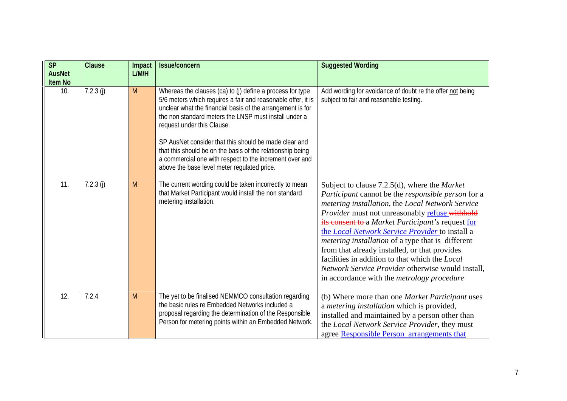| SP<br><b>AusNet</b><br><b>Item No</b> | Clause   | Impact<br>L/M/H | Issue/concern                                                                                                                                                                                                                                                                                                                                                                                                                                                                                                   | <b>Suggested Wording</b>                                                                                                                                                                                                                                                                                                                                                                                                                                                                                                                                                                            |
|---------------------------------------|----------|-----------------|-----------------------------------------------------------------------------------------------------------------------------------------------------------------------------------------------------------------------------------------------------------------------------------------------------------------------------------------------------------------------------------------------------------------------------------------------------------------------------------------------------------------|-----------------------------------------------------------------------------------------------------------------------------------------------------------------------------------------------------------------------------------------------------------------------------------------------------------------------------------------------------------------------------------------------------------------------------------------------------------------------------------------------------------------------------------------------------------------------------------------------------|
| 10.                                   | 7.2.3(j) | M               | Whereas the clauses (ca) to (j) define a process for type<br>5/6 meters which requires a fair and reasonable offer, it is<br>unclear what the financial basis of the arrangement is for<br>the non standard meters the LNSP must install under a<br>request under this Clause.<br>SP AusNet consider that this should be made clear and<br>that this should be on the basis of the relationship being<br>a commercial one with respect to the increment over and<br>above the base level meter regulated price. | Add wording for avoidance of doubt re the offer not being<br>subject to fair and reasonable testing.                                                                                                                                                                                                                                                                                                                                                                                                                                                                                                |
| 11.                                   | 7.2.3(j) | M               | The current wording could be taken incorrectly to mean<br>that Market Participant would install the non standard<br>metering installation.                                                                                                                                                                                                                                                                                                                                                                      | Subject to clause $7.2.5(d)$ , where the <i>Market</i><br>Participant cannot be the responsible person for a<br>metering installation, the Local Network Service<br>Provider must not unreasonably refuse withhold<br>its consent to a Market Participant's request for<br>the Local Network Service Provider to install a<br><i>metering installation</i> of a type that is different<br>from that already installed, or that provides<br>facilities in addition to that which the Local<br>Network Service Provider otherwise would install,<br>in accordance with the <i>metrology</i> procedure |
| 12.                                   | 7.2.4    | M               | The yet to be finalised NEMMCO consultation regarding<br>the basic rules re Embedded Networks included a<br>proposal regarding the determination of the Responsible<br>Person for metering points within an Embedded Network.                                                                                                                                                                                                                                                                                   | (b) Where more than one Market Participant uses<br>a metering installation which is provided,<br>installed and maintained by a person other than<br>the Local Network Service Provider, they must<br>agree Responsible Person arrangements that                                                                                                                                                                                                                                                                                                                                                     |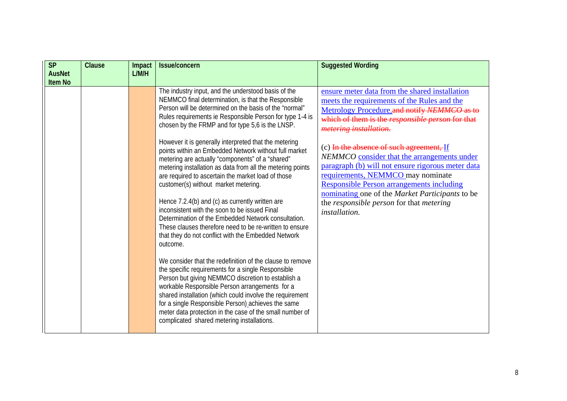| <b>SP</b><br><b>AusNet</b><br><b>Item No</b> | Clause | Impact<br>L/M/H | <b>Issue/concern</b>                                                                                                                                                                                                                                                                                                                                                                                                                                                                                                                                                                                                                                                                                                                                                                                                                                                                                                                                                                                                                                                                                                                                                                                                                                                                                                                                                   | <b>Suggested Wording</b>                                                                                                                                                                                                                                                                                                                                                                                                                                                                                                                                                                   |
|----------------------------------------------|--------|-----------------|------------------------------------------------------------------------------------------------------------------------------------------------------------------------------------------------------------------------------------------------------------------------------------------------------------------------------------------------------------------------------------------------------------------------------------------------------------------------------------------------------------------------------------------------------------------------------------------------------------------------------------------------------------------------------------------------------------------------------------------------------------------------------------------------------------------------------------------------------------------------------------------------------------------------------------------------------------------------------------------------------------------------------------------------------------------------------------------------------------------------------------------------------------------------------------------------------------------------------------------------------------------------------------------------------------------------------------------------------------------------|--------------------------------------------------------------------------------------------------------------------------------------------------------------------------------------------------------------------------------------------------------------------------------------------------------------------------------------------------------------------------------------------------------------------------------------------------------------------------------------------------------------------------------------------------------------------------------------------|
|                                              |        |                 | The industry input, and the understood basis of the<br>NEMMCO final determination, is that the Responsible<br>Person will be determined on the basis of the "normal"<br>Rules requirements ie Responsible Person for type 1-4 is<br>chosen by the FRMP and for type 5,6 is the LNSP.<br>However it is generally interpreted that the metering<br>points within an Embedded Network without full market<br>metering are actually "components" of a "shared"<br>metering installation as data from all the metering points<br>are required to ascertain the market load of those<br>customer(s) without market metering.<br>Hence 7.2.4(b) and (c) as currently written are<br>inconsistent with the soon to be issued Final<br>Determination of the Embedded Network consultation.<br>These clauses therefore need to be re-written to ensure<br>that they do not conflict with the Embedded Network<br>outcome.<br>We consider that the redefinition of the clause to remove<br>the specific requirements for a single Responsible<br>Person but giving NEMMCO discretion to establish a<br>workable Responsible Person arrangements for a<br>shared installation (which could involve the requirement<br>for a single Responsible Person)_achieves the same<br>meter data protection in the case of the small number of<br>complicated shared metering installations. | ensure meter data from the shared installation<br>meets the requirements of the Rules and the<br>Metrology Procedure.and notify NEMMCO as to<br>which of them is the responsible person for that<br>metering installation.<br>(c) In the absence of such agreement, If<br>NEMMCO consider that the arrangements under<br>paragraph (b) will not ensure rigorous meter data<br>requirements, NEMMCO may nominate<br><b>Responsible Person arrangements including</b><br>nominating one of the Market Participants to be<br>the responsible person for that metering<br><i>installation.</i> |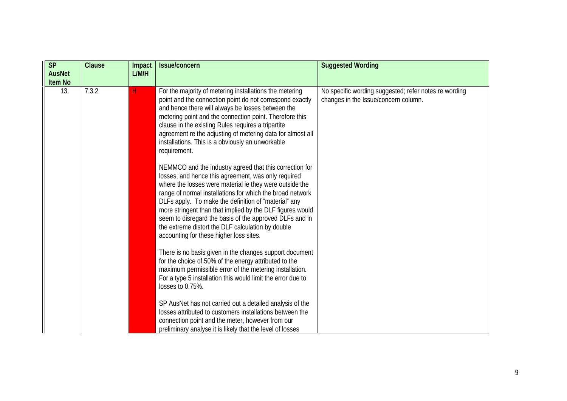| <b>SP</b><br><b>AusNet</b><br><b>Item No</b> | <b>Clause</b> | Impact<br>L/M/H | <b>Issue/concern</b>                                                                                                                                                                                                                                                                                                                                                                                                                                                                                                   | <b>Suggested Wording</b>                                                                      |
|----------------------------------------------|---------------|-----------------|------------------------------------------------------------------------------------------------------------------------------------------------------------------------------------------------------------------------------------------------------------------------------------------------------------------------------------------------------------------------------------------------------------------------------------------------------------------------------------------------------------------------|-----------------------------------------------------------------------------------------------|
| 13.                                          | 7.3.2         | H               | For the majority of metering installations the metering<br>point and the connection point do not correspond exactly<br>and hence there will always be losses between the<br>metering point and the connection point. Therefore this<br>clause in the existing Rules requires a tripartite<br>agreement re the adjusting of metering data for almost all<br>installations. This is a obviously an unworkable<br>requirement.                                                                                            | No specific wording suggested; refer notes re wording<br>changes in the Issue/concern column. |
|                                              |               |                 | NEMMCO and the industry agreed that this correction for<br>losses, and hence this agreement, was only required<br>where the losses were material ie they were outside the<br>range of normal installations for which the broad network<br>DLFs apply. To make the definition of "material" any<br>more stringent than that implied by the DLF figures would<br>seem to disregard the basis of the approved DLFs and in<br>the extreme distort the DLF calculation by double<br>accounting for these higher loss sites. |                                                                                               |
|                                              |               |                 | There is no basis given in the changes support document<br>for the choice of 50% of the energy attributed to the<br>maximum permissible error of the metering installation.<br>For a type 5 installation this would limit the error due to<br>losses to 0.75%.                                                                                                                                                                                                                                                         |                                                                                               |
|                                              |               |                 | SP AusNet has not carried out a detailed analysis of the<br>losses attributed to customers installations between the<br>connection point and the meter, however from our<br>preliminary analyse it is likely that the level of losses                                                                                                                                                                                                                                                                                  |                                                                                               |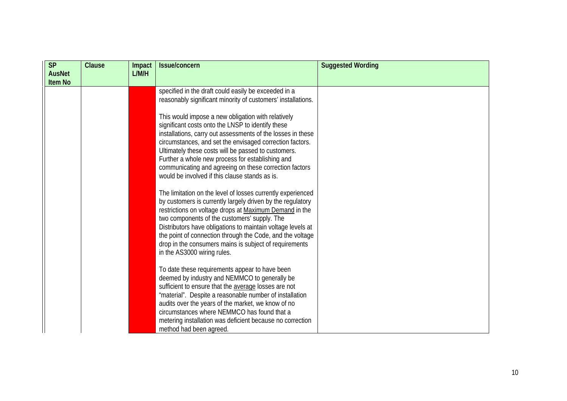| <b>SP</b>      | <b>Clause</b> | Impact | Issue/concern                                                                                                                                                                                                                                                                                                                                                                                                                                             | <b>Suggested Wording</b> |
|----------------|---------------|--------|-----------------------------------------------------------------------------------------------------------------------------------------------------------------------------------------------------------------------------------------------------------------------------------------------------------------------------------------------------------------------------------------------------------------------------------------------------------|--------------------------|
| <b>AusNet</b>  |               | L/M/H  |                                                                                                                                                                                                                                                                                                                                                                                                                                                           |                          |
| <b>Item No</b> |               |        |                                                                                                                                                                                                                                                                                                                                                                                                                                                           |                          |
|                |               |        | specified in the draft could easily be exceeded in a                                                                                                                                                                                                                                                                                                                                                                                                      |                          |
|                |               |        | reasonably significant minority of customers' installations.                                                                                                                                                                                                                                                                                                                                                                                              |                          |
|                |               |        | This would impose a new obligation with relatively<br>significant costs onto the LNSP to identify these<br>installations, carry out assessments of the losses in these<br>circumstances, and set the envisaged correction factors.<br>Ultimately these costs will be passed to customers.<br>Further a whole new process for establishing and<br>communicating and agreeing on these correction factors<br>would be involved if this clause stands as is. |                          |
|                |               |        | The limitation on the level of losses currently experienced<br>by customers is currently largely driven by the regulatory<br>restrictions on voltage drops at Maximum Demand in the<br>two components of the customers' supply. The<br>Distributors have obligations to maintain voltage levels at<br>the point of connection through the Code, and the voltage<br>drop in the consumers mains is subject of requirements<br>in the AS3000 wiring rules.  |                          |
|                |               |        | To date these requirements appear to have been<br>deemed by industry and NEMMCO to generally be<br>sufficient to ensure that the average losses are not<br>"material". Despite a reasonable number of installation<br>audits over the years of the market, we know of no<br>circumstances where NEMMCO has found that a<br>metering installation was deficient because no correction<br>method had been agreed.                                           |                          |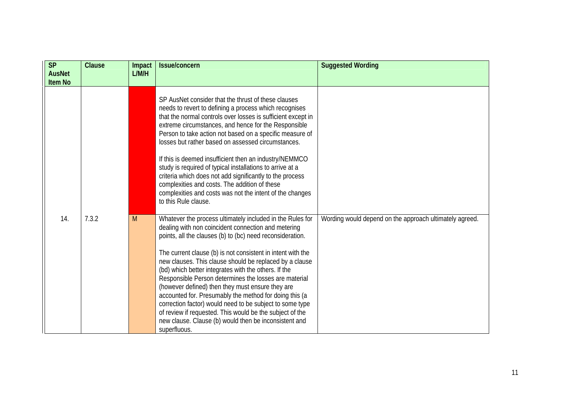| <b>SP</b>                       | <b>Clause</b> | Impact | Issue/concern                                                                                                                                                                                                                                                                                                                                                                                                                                                                                                                                                                                                                                                                                                                           | <b>Suggested Wording</b>                                |
|---------------------------------|---------------|--------|-----------------------------------------------------------------------------------------------------------------------------------------------------------------------------------------------------------------------------------------------------------------------------------------------------------------------------------------------------------------------------------------------------------------------------------------------------------------------------------------------------------------------------------------------------------------------------------------------------------------------------------------------------------------------------------------------------------------------------------------|---------------------------------------------------------|
| <b>AusNet</b><br><b>Item No</b> |               | L/M/H  |                                                                                                                                                                                                                                                                                                                                                                                                                                                                                                                                                                                                                                                                                                                                         |                                                         |
|                                 |               |        |                                                                                                                                                                                                                                                                                                                                                                                                                                                                                                                                                                                                                                                                                                                                         |                                                         |
|                                 |               |        | SP AusNet consider that the thrust of these clauses<br>needs to revert to defining a process which recognises<br>that the normal controls over losses is sufficient except in<br>extreme circumstances, and hence for the Responsible<br>Person to take action not based on a specific measure of<br>losses but rather based on assessed circumstances.<br>If this is deemed insufficient then an industry/NEMMCO<br>study is required of typical installations to arrive at a<br>criteria which does not add significantly to the process<br>complexities and costs. The addition of these<br>complexities and costs was not the intent of the changes<br>to this Rule clause.                                                         |                                                         |
| 14.                             | 7.3.2         | M      | Whatever the process ultimately included in the Rules for<br>dealing with non coincident connection and metering<br>points, all the clauses (b) to (bc) need reconsideration.<br>The current clause (b) is not consistent in intent with the<br>new clauses. This clause should be replaced by a clause<br>(bd) which better integrates with the others. If the<br>Responsible Person determines the losses are material<br>(however defined) then they must ensure they are<br>accounted for. Presumably the method for doing this (a<br>correction factor) would need to be subject to some type<br>of review if requested. This would be the subject of the<br>new clause. Clause (b) would then be inconsistent and<br>superfluous. | Wording would depend on the approach ultimately agreed. |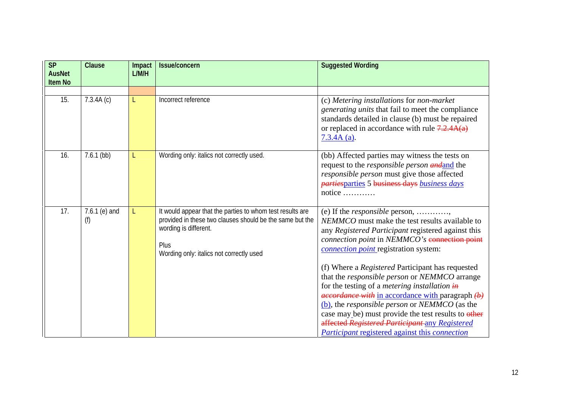| <b>SP</b><br><b>AusNet</b> | <b>Clause</b>          | Impact<br>L/M/H | Issue/concern                                                                                                                                                                                      | <b>Suggested Wording</b>                                                                                                                                                                                                                                                                                                                                                                                                                                                                                                                                                                                                                                                                                                                                    |
|----------------------------|------------------------|-----------------|----------------------------------------------------------------------------------------------------------------------------------------------------------------------------------------------------|-------------------------------------------------------------------------------------------------------------------------------------------------------------------------------------------------------------------------------------------------------------------------------------------------------------------------------------------------------------------------------------------------------------------------------------------------------------------------------------------------------------------------------------------------------------------------------------------------------------------------------------------------------------------------------------------------------------------------------------------------------------|
| <b>Item No</b>             |                        |                 |                                                                                                                                                                                                    |                                                                                                                                                                                                                                                                                                                                                                                                                                                                                                                                                                                                                                                                                                                                                             |
| 15.                        | 7.3.4A(c)              | L               | Incorrect reference                                                                                                                                                                                | (c) Metering installations for non-market<br>generating units that fail to meet the compliance<br>standards detailed in clause (b) must be repaired<br>or replaced in accordance with rule $7.2.4A(a)$<br>$7.3.4A$ (a).                                                                                                                                                                                                                                                                                                                                                                                                                                                                                                                                     |
| 16.                        | $7.6.1$ (bb)           | L               | Wording only: italics not correctly used.                                                                                                                                                          | (bb) Affected parties may witness the tests on<br>request to the responsible person and and the<br>responsible person must give those affected<br>partiesparties 5 business days business days<br>notice                                                                                                                                                                                                                                                                                                                                                                                                                                                                                                                                                    |
| 17.                        | 7.6.1 $(e)$ and<br>(f) |                 | It would appear that the parties to whom test results are<br>provided in these two clauses should be the same but the<br>wording is different.<br>Plus<br>Wording only: italics not correctly used | (e) If the <i>responsible</i> person,<br>NEMMCO must make the test results available to<br>any Registered Participant registered against this<br>connection point in NEMMCO's connection point<br><i>connection point</i> registration system:<br>(f) Where a Registered Participant has requested<br>that the responsible person or NEMMCO arrange<br>for the testing of a <i>metering installation</i> $\frac{1}{t}$<br>$\frac{decordance \text{ with in accordance with paragraph }(\text{b})}{\text{the one of the original value}}$<br>(b), the responsible person or NEMMCO (as the<br>case may be) must provide the test results to other<br>affected Registered Participant any Registered<br><b>Participant registered against this connection</b> |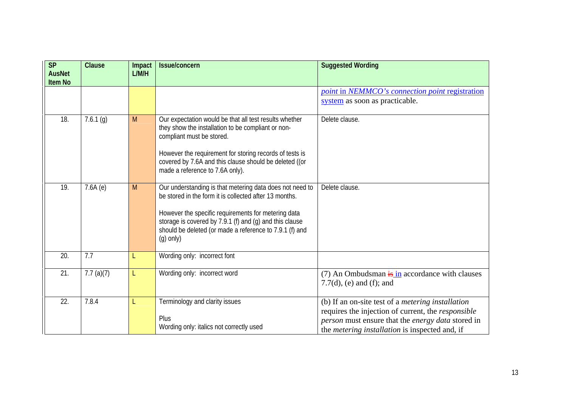| <b>SP</b><br><b>AusNet</b> | <b>Clause</b> | Impact<br>L/M/H | Issue/concern                                                                                                                                                                                                                                                                                                  | <b>Suggested Wording</b>                                                                                                                                                                                                            |
|----------------------------|---------------|-----------------|----------------------------------------------------------------------------------------------------------------------------------------------------------------------------------------------------------------------------------------------------------------------------------------------------------------|-------------------------------------------------------------------------------------------------------------------------------------------------------------------------------------------------------------------------------------|
| <b>Item No</b>             |               |                 |                                                                                                                                                                                                                                                                                                                |                                                                                                                                                                                                                                     |
|                            |               |                 |                                                                                                                                                                                                                                                                                                                | point in NEMMCO's connection point registration                                                                                                                                                                                     |
|                            |               |                 |                                                                                                                                                                                                                                                                                                                | system as soon as practicable.                                                                                                                                                                                                      |
| 18.                        | 7.6.1(g)      | M               | Our expectation would be that all test results whether<br>they show the installation to be compliant or non-<br>compliant must be stored.<br>However the requirement for storing records of tests is<br>covered by 7.6A and this clause should be deleted ((or<br>made a reference to 7.6A only).              | Delete clause.                                                                                                                                                                                                                      |
| 19.                        | 7.6A(e)       | M               | Our understanding is that metering data does not need to<br>be stored in the form it is collected after 13 months.<br>However the specific requirements for metering data<br>storage is covered by 7.9.1 (f) and (g) and this clause<br>should be deleted (or made a reference to 7.9.1 (f) and<br>$(g)$ only) | Delete clause.                                                                                                                                                                                                                      |
| 20.                        | 7.7           | L               | Wording only: incorrect font                                                                                                                                                                                                                                                                                   |                                                                                                                                                                                                                                     |
| 21.                        | 7.7 $(a)(7)$  | L               | Wording only: incorrect word                                                                                                                                                                                                                                                                                   | (7) An Ombudsman $\frac{1}{15}$ in accordance with clauses<br>7.7(d), (e) and (f); and                                                                                                                                              |
| 22.                        | 7.8.4         | L               | Terminology and clarity issues<br>Plus<br>Wording only: italics not correctly used                                                                                                                                                                                                                             | (b) If an on-site test of a <i>metering installation</i><br>requires the injection of current, the <i>responsible</i><br>person must ensure that the energy data stored in<br>the <i>metering installation</i> is inspected and, if |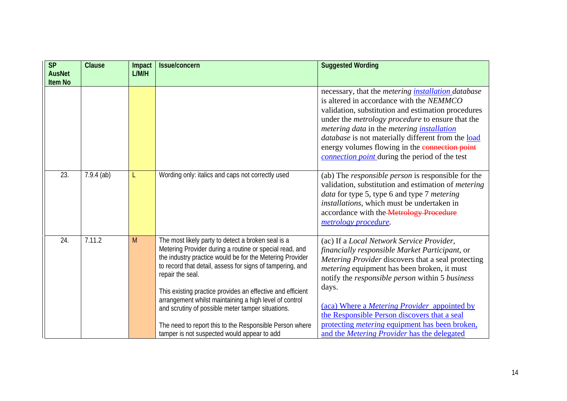| <b>SP</b>                       | Clause       | Impact | Issue/concern                                                                                                                                                                                                                                                                                                                                                                                                                                                                                                                                     | <b>Suggested Wording</b>                                                                                                                                                                                                                                                                                                                                                                                                                                                                         |
|---------------------------------|--------------|--------|---------------------------------------------------------------------------------------------------------------------------------------------------------------------------------------------------------------------------------------------------------------------------------------------------------------------------------------------------------------------------------------------------------------------------------------------------------------------------------------------------------------------------------------------------|--------------------------------------------------------------------------------------------------------------------------------------------------------------------------------------------------------------------------------------------------------------------------------------------------------------------------------------------------------------------------------------------------------------------------------------------------------------------------------------------------|
| <b>AusNet</b><br><b>Item No</b> |              | L/M/H  |                                                                                                                                                                                                                                                                                                                                                                                                                                                                                                                                                   |                                                                                                                                                                                                                                                                                                                                                                                                                                                                                                  |
|                                 |              |        |                                                                                                                                                                                                                                                                                                                                                                                                                                                                                                                                                   | necessary, that the metering <i>installation</i> database<br>is altered in accordance with the NEMMCO<br>validation, substitution and estimation procedures<br>under the <i>metrology procedure</i> to ensure that the<br>metering data in the metering <i>installation</i><br><i>database</i> is not materially different from the <b>load</b><br>energy volumes flowing in the connection point<br>connection point during the period of the test                                              |
| 23.                             | $7.9.4$ (ab) |        | Wording only: italics and caps not correctly used                                                                                                                                                                                                                                                                                                                                                                                                                                                                                                 | (ab) The <i>responsible person</i> is responsible for the<br>validation, substitution and estimation of <i>metering</i><br>data for type 5, type 6 and type 7 metering<br>installations, which must be undertaken in<br>accordance with the Metrology Procedure<br>metrology procedure.                                                                                                                                                                                                          |
| 24.                             | 7.11.2       | M      | The most likely party to detect a broken seal is a<br>Metering Provider during a routine or special read, and<br>the industry practice would be for the Metering Provider<br>to record that detail, assess for signs of tampering, and<br>repair the seal.<br>This existing practice provides an effective and efficient<br>arrangement whilst maintaining a high level of control<br>and scrutiny of possible meter tamper situations.<br>The need to report this to the Responsible Person where<br>tamper is not suspected would appear to add | (ac) If a Local Network Service Provider,<br>financially responsible Market Participant, or<br>Metering Provider discovers that a seal protecting<br><i>metering</i> equipment has been broken, it must<br>notify the <i>responsible person</i> within 5 <i>business</i><br>days.<br>(aca) Where a Metering Provider appointed by<br>the Responsible Person discovers that a seal<br>protecting <i>metering</i> equipment has been broken,<br>and the <i>Metering Provider</i> has the delegated |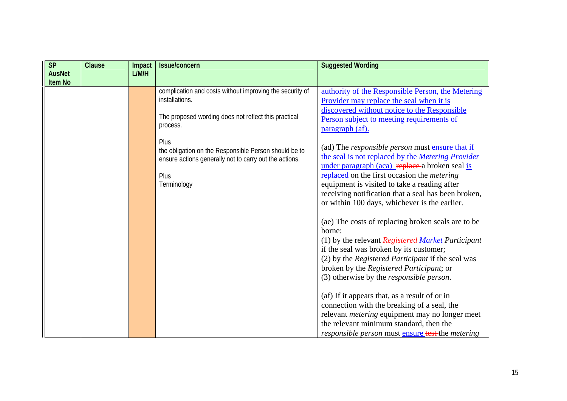| <b>SP</b><br><b>AusNet</b> | Clause | Impact<br>L/M/H | Issue/concern                                                                                                           | <b>Suggested Wording</b>                                                                                                                                                                                                                                                   |
|----------------------------|--------|-----------------|-------------------------------------------------------------------------------------------------------------------------|----------------------------------------------------------------------------------------------------------------------------------------------------------------------------------------------------------------------------------------------------------------------------|
| <b>Item No</b>             |        |                 |                                                                                                                         |                                                                                                                                                                                                                                                                            |
|                            |        |                 | complication and costs without improving the security of<br>installations.                                              | authority of the Responsible Person, the Metering<br>Provider may replace the seal when it is<br>discovered without notice to the Responsible                                                                                                                              |
|                            |        |                 | The proposed wording does not reflect this practical<br>process.                                                        | Person subject to meeting requirements of<br>paragraph (af).                                                                                                                                                                                                               |
|                            |        |                 | Plus<br>the obligation on the Responsible Person should be to<br>ensure actions generally not to carry out the actions. | (ad) The <i>responsible person</i> must ensure that if<br>the seal is not replaced by the Metering Provider<br>under paragraph (aca) replace a broken seal is                                                                                                              |
|                            |        |                 | Plus<br>Terminology                                                                                                     | replaced on the first occasion the <i>metering</i><br>equipment is visited to take a reading after<br>receiving notification that a seal has been broken,<br>or within 100 days, whichever is the earlier.                                                                 |
|                            |        |                 |                                                                                                                         | (ae) The costs of replacing broken seals are to be<br>borne:<br>(1) by the relevant Registered Market Participant                                                                                                                                                          |
|                            |        |                 |                                                                                                                         | if the seal was broken by its customer;<br>(2) by the Registered Participant if the seal was<br>broken by the Registered Participant; or<br>(3) otherwise by the <i>responsible person</i> .                                                                               |
|                            |        |                 |                                                                                                                         | (af) If it appears that, as a result of or in<br>connection with the breaking of a seal, the<br>relevant <i>metering</i> equipment may no longer meet<br>the relevant minimum standard, then the<br><i>responsible person</i> must <b>ensure test</b> -the <i>metering</i> |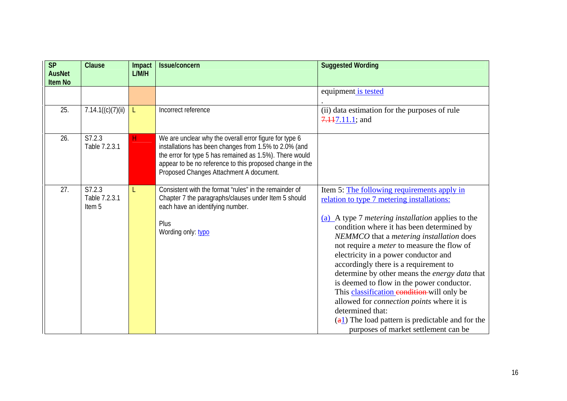| <b>SP</b><br><b>AusNet</b> | Clause                            | Impact<br>L/M/H | <b>Issue/concern</b>                                                                                                                                                                                                                                                              | <b>Suggested Wording</b>                                                                                                                                                                                                                                                                                                                                                                                                                                                                                                                                                                                                                                                                                                |
|----------------------------|-----------------------------------|-----------------|-----------------------------------------------------------------------------------------------------------------------------------------------------------------------------------------------------------------------------------------------------------------------------------|-------------------------------------------------------------------------------------------------------------------------------------------------------------------------------------------------------------------------------------------------------------------------------------------------------------------------------------------------------------------------------------------------------------------------------------------------------------------------------------------------------------------------------------------------------------------------------------------------------------------------------------------------------------------------------------------------------------------------|
| <b>Item No</b>             |                                   |                 |                                                                                                                                                                                                                                                                                   |                                                                                                                                                                                                                                                                                                                                                                                                                                                                                                                                                                                                                                                                                                                         |
|                            |                                   |                 |                                                                                                                                                                                                                                                                                   | equipment is tested                                                                                                                                                                                                                                                                                                                                                                                                                                                                                                                                                                                                                                                                                                     |
| 25.                        | 7.14.1((c)(7)(ii))                | L.              | Incorrect reference                                                                                                                                                                                                                                                               | (ii) data estimation for the purposes of rule<br>$7.117.11.1$ ; and                                                                                                                                                                                                                                                                                                                                                                                                                                                                                                                                                                                                                                                     |
| 26.                        | S7.2.3<br>Table 7.2.3.1           | н               | We are unclear why the overall error figure for type 6<br>installations has been changes from 1.5% to 2.0% (and<br>the error for type 5 has remained as 1.5%). There would<br>appear to be no reference to this proposed change in the<br>Proposed Changes Attachment A document. |                                                                                                                                                                                                                                                                                                                                                                                                                                                                                                                                                                                                                                                                                                                         |
| 27.                        | S7.2.3<br>Table 7.2.3.1<br>Item 5 |                 | Consistent with the format "rules" in the remainder of<br>Chapter 7 the paragraphs/clauses under Item 5 should<br>each have an identifying number.<br>Plus<br>Wording only: typo                                                                                                  | Item 5: The following requirements apply in<br>relation to type 7 metering installations:<br>(a) A type 7 <i>metering installation</i> applies to the<br>condition where it has been determined by<br>NEMMCO that a metering installation does<br>not require a <i>meter</i> to measure the flow of<br>electricity in a power conductor and<br>accordingly there is a requirement to<br>determine by other means the energy data that<br>is deemed to flow in the power conductor.<br>This classification eondition-will only be<br>allowed for connection points where it is<br>determined that:<br>$\left(\frac{a_1}{b_1}\right)$ The load pattern is predictable and for the<br>purposes of market settlement can be |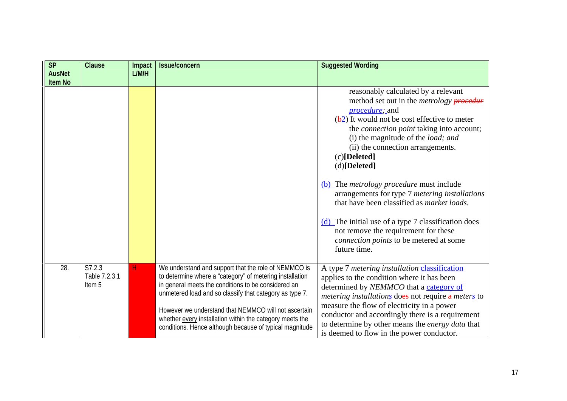| <b>SP</b>                       | Clause                            | Impact | <b>Issue/concern</b>                                                                                                                                                                                                                                                                                                                                                                                              | <b>Suggested Wording</b>                                                                                                                                                                                                                                                                                                                                                                                                                                                                                                                                                                                                                                                               |
|---------------------------------|-----------------------------------|--------|-------------------------------------------------------------------------------------------------------------------------------------------------------------------------------------------------------------------------------------------------------------------------------------------------------------------------------------------------------------------------------------------------------------------|----------------------------------------------------------------------------------------------------------------------------------------------------------------------------------------------------------------------------------------------------------------------------------------------------------------------------------------------------------------------------------------------------------------------------------------------------------------------------------------------------------------------------------------------------------------------------------------------------------------------------------------------------------------------------------------|
| <b>AusNet</b><br><b>Item No</b> |                                   | L/M/H  |                                                                                                                                                                                                                                                                                                                                                                                                                   |                                                                                                                                                                                                                                                                                                                                                                                                                                                                                                                                                                                                                                                                                        |
|                                 |                                   |        |                                                                                                                                                                                                                                                                                                                                                                                                                   | reasonably calculated by a relevant<br>method set out in the <i>metrology</i> <b>procedur</b><br><i>procedure</i> ; and<br>$(\frac{1}{2})$ It would not be cost effective to meter<br>the <i>connection point</i> taking into account;<br>(i) the magnitude of the <i>load</i> ; and<br>(ii) the connection arrangements.<br>$(c)[\text{Delete}d]$<br>(d)[Delted]<br>(b) The <i>metrology procedure</i> must include<br>arrangements for type 7 metering installations<br>that have been classified as <i>market loads</i> .<br>(d) The initial use of a type 7 classification does<br>not remove the requirement for these<br>connection points to be metered at some<br>future time. |
| 28.                             | S7.2.3<br>Table 7.2.3.1<br>Item 5 | H      | We understand and support that the role of NEMMCO is<br>to determine where a "category" of metering installation<br>in general meets the conditions to be considered an<br>unmetered load and so classify that category as type 7.<br>However we understand that NEMMCO will not ascertain<br>whether every installation within the category meets the<br>conditions. Hence although because of typical magnitude | A type 7 metering installation <i>classification</i><br>applies to the condition where it has been<br>determined by NEMMCO that a category of<br>metering installations does not require a meters to<br>measure the flow of electricity in a power<br>conductor and accordingly there is a requirement<br>to determine by other means the energy data that<br>is deemed to flow in the power conductor.                                                                                                                                                                                                                                                                                |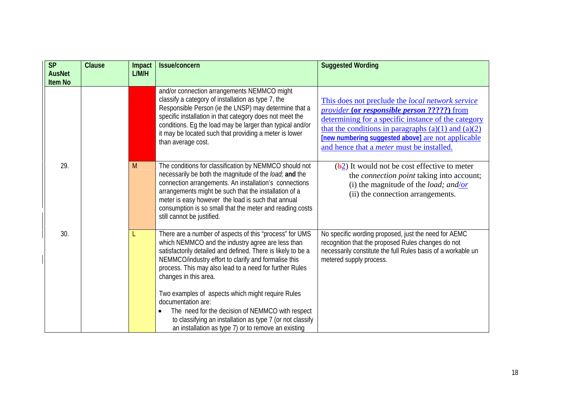| <b>SP</b><br><b>AusNet</b><br><b>Item No</b> | Clause | Impact<br>L/M/H | Issue/concern                                                                                                                                                                                                                                                                                                                                                                                                                                                                                                                                                               | <b>Suggested Wording</b>                                                                                                                                                                                                                                                                                                    |
|----------------------------------------------|--------|-----------------|-----------------------------------------------------------------------------------------------------------------------------------------------------------------------------------------------------------------------------------------------------------------------------------------------------------------------------------------------------------------------------------------------------------------------------------------------------------------------------------------------------------------------------------------------------------------------------|-----------------------------------------------------------------------------------------------------------------------------------------------------------------------------------------------------------------------------------------------------------------------------------------------------------------------------|
|                                              |        |                 | and/or connection arrangements NEMMCO might<br>classify a category of installation as type 7, the<br>Responsible Person (ie the LNSP) may determine that a<br>specific installation in that category does not meet the<br>conditions. Eg the load may be larger than typical and/or<br>it may be located such that providing a meter is lower<br>than average cost.                                                                                                                                                                                                         | This does not preclude the local network service<br>provider (or responsible person ?????) from<br>determining for a specific instance of the category<br>that the conditions in paragraphs $(a)(1)$ and $(a)(2)$<br>[new numbering suggested above] are not applicable<br>and hence that a <i>meter</i> must be installed. |
| 29.                                          |        | M               | The conditions for classification by NEMMCO should not<br>necessarily be both the magnitude of the load; and the<br>connection arrangements. An installation's connections<br>arrangements might be such that the installation of a<br>meter is easy however the load is such that annual<br>consumption is so small that the meter and reading costs<br>still cannot be justified.                                                                                                                                                                                         | $(\frac{1}{2})$ It would not be cost effective to meter<br>the <i>connection point</i> taking into account;<br>(i) the magnitude of the <i>load</i> ; and/or<br>(ii) the connection arrangements.                                                                                                                           |
| 30.                                          |        |                 | There are a number of aspects of this "process" for UMS<br>which NEMMCO and the industry agree are less than<br>satisfactorily detailed and defined. There is likely to be a<br>NEMMCO/industry effort to clarify and formalise this<br>process. This may also lead to a need for further Rules<br>changes in this area.<br>Two examples of aspects which might require Rules<br>documentation are:<br>The need for the decision of NEMMCO with respect<br>to classifying an installation as type 7 (or not classify<br>an installation as type 7) or to remove an existing | No specific wording proposed, just the need for AEMC<br>recognition that the proposed Rules changes do not<br>necessarily constitute the full Rules basis of a workable un<br>metered supply process.                                                                                                                       |